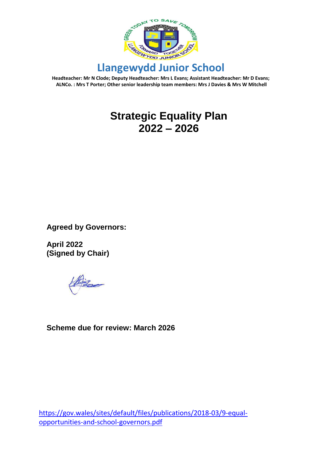

# **Strategic Equality Plan 2022 – 2026**

**Agreed by Governors:**

**April 2022 (Signed by Chair)**

**Scheme due for review: March 2026**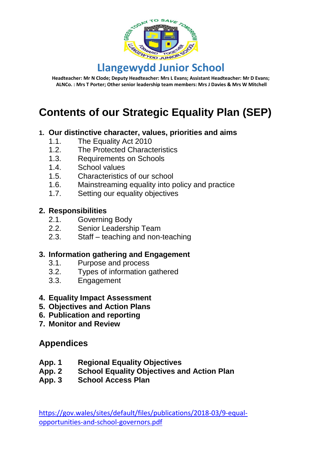

# **Contents of our Strategic Equality Plan (SEP)**

#### **1. Our distinctive character, values, priorities and aims**

- 1.1. The Equality Act 2010
- 
- 1.2. The Protected Characteristics<br>1.3. Requirements on Schools Requirements on Schools
- 1.4. School values
- 1.5. Characteristics of our school<br>1.6. Mainstreaming equality into p
- Mainstreaming equality into policy and practice
- 1.7. Setting our equality objectives

#### **2. Responsibilities**

- 2.1. Governing Body
- 2.2. Senior Leadership Team
- 2.3. Staff teaching and non-teaching

#### **3. Information gathering and Engagement**

- 3.1. Purpose and process
- 3.2. Types of information gathered
- 3.3. Engagement
- **4. Equality Impact Assessment**
- **5. Objectives and Action Plans**
- **6. Publication and reporting**
- **7. Monitor and Review**

#### **Appendices**

- **App. 1 Regional Equality Objectives**
- **App. 2 School Equality Objectives and Action Plan**
- **App. 3 School Access Plan**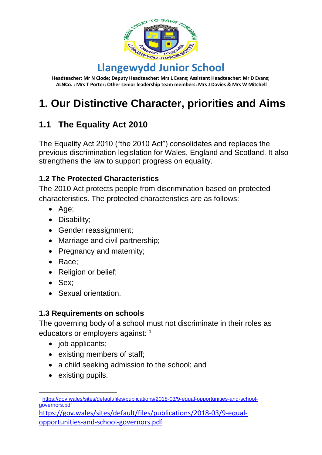

# **1. Our Distinctive Character, priorities and Aims**

## **1.1 The Equality Act 2010**

The Equality Act 2010 ("the 2010 Act") consolidates and replaces the previous discrimination legislation for Wales, England and Scotland. It also strengthens the law to support progress on equality.

#### **1.2 The Protected Characteristics**

The 2010 Act protects people from discrimination based on protected characteristics. The protected characteristics are as follows:

- Age;
- Disability;
- Gender reassignment:
- Marriage and civil partnership;
- Pregnancy and maternity:
- Race;
- Religion or belief;
- Sex;
- Sexual orientation.

#### **1.3 Requirements on schools**

The governing body of a school must not discriminate in their roles as educators or employers against: <sup>1</sup>

- job applicants;
- existing members of staff;
- a child seeking admission to the school; and
- existing pupils.

<sup>-</sup><sup>1</sup> [https://gov.wales/sites/default/files/publications/2018-03/9-equal-opportunities-and-school](https://gov.wales/sites/default/files/publications/2018-03/9-equal-opportunities-and-school-governors.pdf)[governors.pdf](https://gov.wales/sites/default/files/publications/2018-03/9-equal-opportunities-and-school-governors.pdf)

[https://gov.wales/sites/default/files/publications/2018-03/9-equal](https://gov.wales/sites/default/files/publications/2018-03/9-equal-opportunities-and-school-governors.pdf)[opportunities-and-school-governors.pdf](https://gov.wales/sites/default/files/publications/2018-03/9-equal-opportunities-and-school-governors.pdf)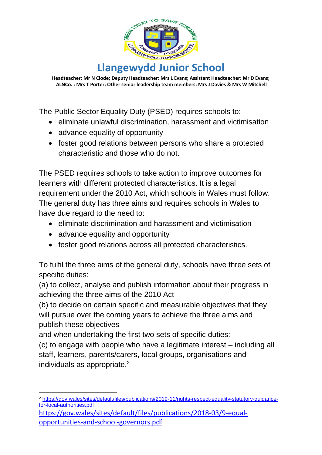

The Public Sector Equality Duty (PSED) requires schools to:

- eliminate unlawful discrimination, harassment and victimisation
- advance equality of opportunity
- foster good relations between persons who share a protected characteristic and those who do not.

The PSED requires schools to take action to improve outcomes for learners with different protected characteristics. It is a legal requirement under the 2010 Act, which schools in Wales must follow. The general duty has three aims and requires schools in Wales to have due regard to the need to:

- eliminate discrimination and harassment and victimisation
- advance equality and opportunity
- foster good relations across all protected characteristics.

To fulfil the three aims of the general duty, schools have three sets of specific duties:

(a) to collect, analyse and publish information about their progress in achieving the three aims of the 2010 Act

(b) to decide on certain specific and measurable objectives that they will pursue over the coming years to achieve the three aims and publish these objectives

and when undertaking the first two sets of specific duties:

(c) to engage with people who have a legitimate interest – including all staff, learners, parents/carers, local groups, organisations and individuals as appropriate.<sup>2</sup>

<sup>-</sup><sup>2</sup> [https://gov.wales/sites/default/files/publications/2019-11/rights-respect-equality-statutory-guidance](https://gov.wales/sites/default/files/publications/2019-11/rights-respect-equality-statutory-guidance-for-local-authorities.pdf)[for-local-authorities.pdf](https://gov.wales/sites/default/files/publications/2019-11/rights-respect-equality-statutory-guidance-for-local-authorities.pdf)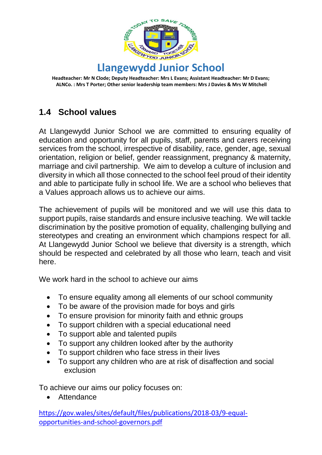

## **1.4 School values**

At Llangewydd Junior School we are committed to ensuring equality of education and opportunity for all pupils, staff, parents and carers receiving services from the school, irrespective of disability, race, gender, age, sexual orientation, religion or belief, gender reassignment, pregnancy & maternity, marriage and civil partnership. We aim to develop a culture of inclusion and diversity in which all those connected to the school feel proud of their identity and able to participate fully in school life. We are a school who believes that a Values approach allows us to achieve our aims.

The achievement of pupils will be monitored and we will use this data to support pupils, raise standards and ensure inclusive teaching. We will tackle discrimination by the positive promotion of equality, challenging bullying and stereotypes and creating an environment which champions respect for all. At Llangewydd Junior School we believe that diversity is a strength, which should be respected and celebrated by all those who learn, teach and visit here.

We work hard in the school to achieve our aims

- To ensure equality among all elements of our school community
- To be aware of the provision made for boys and girls
- To ensure provision for minority faith and ethnic groups
- To support children with a special educational need
- To support able and talented pupils
- To support any children looked after by the authority
- To support children who face stress in their lives
- To support any children who are at risk of disaffection and social exclusion

To achieve our aims our policy focuses on:

• Attendance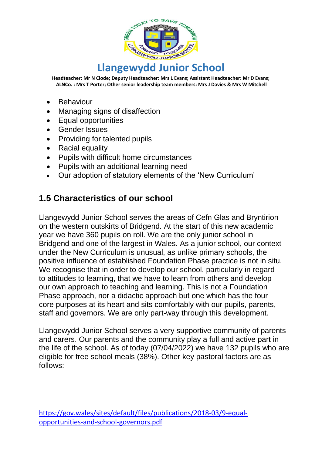

- Behaviour
- Managing signs of disaffection
- Equal opportunities
- Gender Issues
- Providing for talented pupils
- Racial equality
- Pupils with difficult home circumstances
- Pupils with an additional learning need
- Our adoption of statutory elements of the 'New Curriculum'

### **1.5 Characteristics of our school**

Llangewydd Junior School serves the areas of Cefn Glas and Bryntirion on the western outskirts of Bridgend. At the start of this new academic year we have 360 pupils on roll. We are the only junior school in Bridgend and one of the largest in Wales. As a junior school, our context under the New Curriculum is unusual, as unlike primary schools, the positive influence of established Foundation Phase practice is not in situ. We recognise that in order to develop our school, particularly in regard to attitudes to learning, that we have to learn from others and develop our own approach to teaching and learning. This is not a Foundation Phase approach, nor a didactic approach but one which has the four core purposes at its heart and sits comfortably with our pupils, parents, staff and governors. We are only part-way through this development.

Llangewydd Junior School serves a very supportive community of parents and carers. Our parents and the community play a full and active part in the life of the school. As of today (07/04/2022) we have 132 pupils who are eligible for free school meals (38%). Other key pastoral factors are as follows: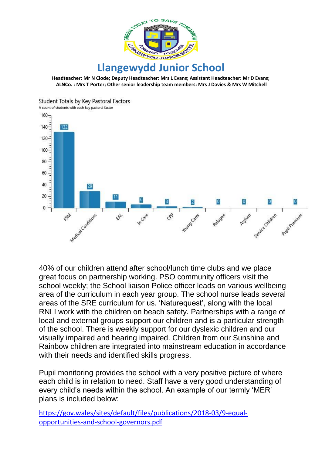



40% of our children attend after school/lunch time clubs and we place great focus on partnership working. PSO community officers visit the school weekly; the School liaison Police officer leads on various wellbeing area of the curriculum in each year group. The school nurse leads several areas of the SRE curriculum for us. 'Naturequest', along with the local RNLI work with the children on beach safety. Partnerships with a range of local and external groups support our children and is a particular strength of the school. There is weekly support for our dyslexic children and our visually impaired and hearing impaired. Children from our Sunshine and Rainbow children are integrated into mainstream education in accordance with their needs and identified skills progress.

Pupil monitoring provides the school with a very positive picture of where each child is in relation to need. Staff have a very good understanding of every child's needs within the school. An example of our termly 'MER' plans is included below: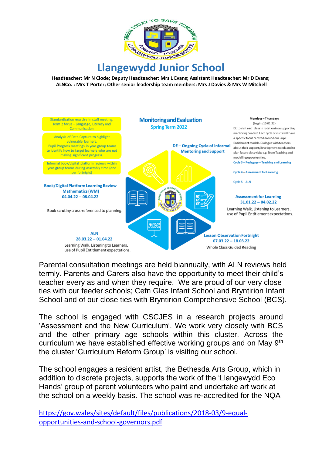

# **Llangewydd Junior School**

**Headteacher: Mr N Clode; Deputy Headteacher: Mrs L Evans; Assistant Headteacher: Mr D Evans; ALNCo. : Mrs T Porter; Other senior leadership team members: Mrs J Davies & Mrs W Mitchell**



Parental consultation meetings are held biannually, with ALN reviews held termly. Parents and Carers also have the opportunity to meet their child's teacher every as and when they require. We are proud of our very close ties with our feeder schools; Cefn Glas Infant School and Bryntirion Infant School and of our close ties with Bryntirion Comprehensive School (BCS).

The school is engaged with CSCJES in a research projects around 'Assessment and the New Curriculum'. We work very closely with BCS and the other primary age schools within this cluster. Across the curriculum we have established effective working groups and on May 9<sup>th</sup> the cluster 'Curriculum Reform Group' is visiting our school.

The school engages a resident artist, the Bethesda Arts Group, which in addition to discrete projects, supports the work of the 'Llangewydd Eco Hands' group of parent volunteers who paint and undertake art work at the school on a weekly basis. The school was re-accredited for the NQA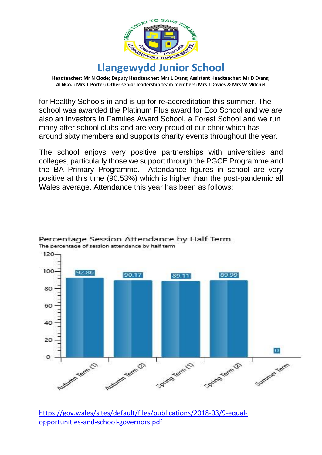

for Healthy Schools in and is up for re-accreditation this summer. The school was awarded the Platinum Plus award for Eco School and we are also an Investors In Families Award School, a Forest School and we run many after school clubs and are very proud of our choir which has around sixty members and supports charity events throughout the year.

The school enjoys very positive partnerships with universities and colleges, particularly those we support through the PGCE Programme and the BA Primary Programme. Attendance figures in school are very positive at this time (90.53%) which is higher than the post-pandemic all Wales average. Attendance this year has been as follows:



#### Percentage Session Attendance by Half Term The percentage of session attendance by half term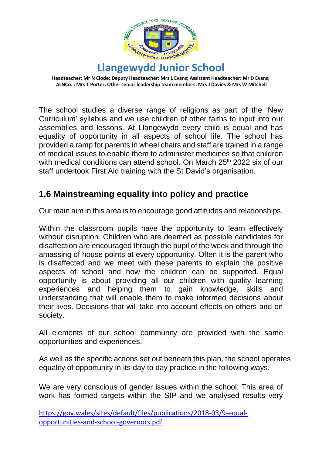

The school studies a diverse range of religions as part of the 'New Curriculum' syllabus and we use children of other faiths to input into our assemblies and lessons. At Llangewydd every child is equal and has equality of opportunity in all aspects of school life. The school has provided a ramp for parents in wheel chairs and staff are trained in a range of medical issues to enable them to administer medicines so that children with medical conditions can attend school. On March 25<sup>th</sup> 2022 six of our staff undertook First Aid training with the St David's organisation.

### **1.6 Mainstreaming equality into policy and practice**

Our main aim in this area is to encourage good attitudes and relationships.

Within the classroom pupils have the opportunity to learn effectively without disruption. Children who are deemed as possible candidates for disaffection are encouraged through the pupil of the week and through the amassing of house points at every opportunity. Often it is the parent who is disaffected and we meet with these parents to explain the positive aspects of school and how the children can be supported. Equal opportunity is about providing all our children with quality learning experiences and helping them to gain knowledge, skills and understanding that will enable them to make informed decisions about their lives. Decisions that will take into account effects on others and on society.

All elements of our school community are provided with the same opportunities and experiences.

As well as the specific actions set out beneath this plan, the school operates equality of opportunity in its day to day practice in the following ways.

We are very conscious of gender issues within the school. This area of work has formed targets within the SIP and we analysed results very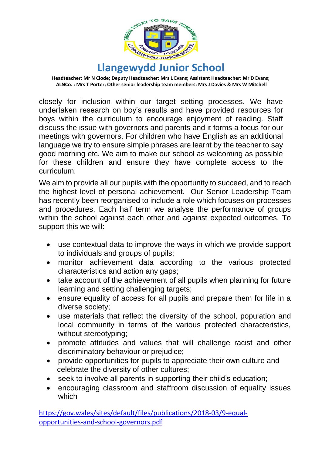

closely for inclusion within our target setting processes. We have undertaken research on boy's results and have provided resources for boys within the curriculum to encourage enjoyment of reading. Staff discuss the issue with governors and parents and it forms a focus for our meetings with governors. For children who have English as an additional language we try to ensure simple phrases are learnt by the teacher to say good morning etc. We aim to make our school as welcoming as possible for these children and ensure they have complete access to the curriculum.

We aim to provide all our pupils with the opportunity to succeed, and to reach the highest level of personal achievement. Our Senior Leadership Team has recently been reorganised to include a role which focuses on processes and procedures. Each half term we analyse the performance of groups within the school against each other and against expected outcomes. To support this we will:

- use contextual data to improve the ways in which we provide support to individuals and groups of pupils;
- monitor achievement data according to the various protected characteristics and action any gaps;
- take account of the achievement of all pupils when planning for future learning and setting challenging targets;
- ensure equality of access for all pupils and prepare them for life in a diverse society;
- use materials that reflect the diversity of the school, population and local community in terms of the various protected characteristics, without stereotyping;
- promote attitudes and values that will challenge racist and other discriminatory behaviour or prejudice;
- provide opportunities for pupils to appreciate their own culture and celebrate the diversity of other cultures;
- seek to involve all parents in supporting their child's education;
- encouraging classroom and staffroom discussion of equality issues which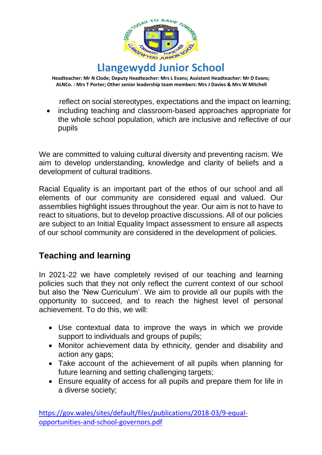

reflect on social stereotypes, expectations and the impact on learning;

• including teaching and classroom-based approaches appropriate for the whole school population, which are inclusive and reflective of our pupils

We are committed to valuing cultural diversity and preventing racism. We aim to develop understanding, knowledge and clarity of beliefs and a development of cultural traditions.

Racial Equality is an important part of the ethos of our school and all elements of our community are considered equal and valued. Our assemblies highlight issues throughout the year. Our aim is not to have to react to situations, but to develop proactive discussions. All of our policies are subject to an Initial Equality Impact assessment to ensure all aspects of our school community are considered in the development of policies.

## **Teaching and learning**

In 2021-22 we have completely revised of our teaching and learning policies such that they not only reflect the current context of our school but also the 'New Curriculum'. We aim to provide all our pupils with the opportunity to succeed, and to reach the highest level of personal achievement. To do this, we will:

- Use contextual data to improve the ways in which we provide support to individuals and groups of pupils;
- Monitor achievement data by ethnicity, gender and disability and action any gaps;
- Take account of the achievement of all pupils when planning for future learning and setting challenging targets;
- Ensure equality of access for all pupils and prepare them for life in a diverse society;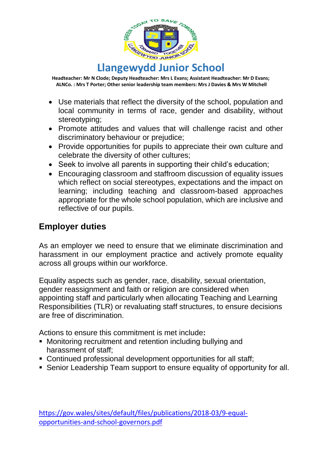

- Use materials that reflect the diversity of the school, population and local community in terms of race, gender and disability, without stereotyping;
- Promote attitudes and values that will challenge racist and other discriminatory behaviour or prejudice;
- Provide opportunities for pupils to appreciate their own culture and celebrate the diversity of other cultures;
- Seek to involve all parents in supporting their child's education;
- Encouraging classroom and staffroom discussion of equality issues which reflect on social stereotypes, expectations and the impact on learning; including teaching and classroom-based approaches appropriate for the whole school population, which are inclusive and reflective of our pupils.

## **Employer duties**

As an employer we need to ensure that we eliminate discrimination and harassment in our employment practice and actively promote equality across all groups within our workforce.

Equality aspects such as gender, race, disability, sexual orientation, gender reassignment and faith or religion are considered when appointing staff and particularly when allocating Teaching and Learning Responsibilities (TLR) or revaluating staff structures, to ensure decisions are free of discrimination.

Actions to ensure this commitment is met include**:**

- Monitoring recruitment and retention including bullying and harassment of staff;
- Continued professional development opportunities for all staff;
- Senior Leadership Team support to ensure equality of opportunity for all.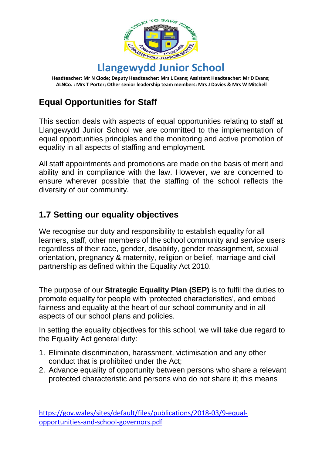

# **Equal Opportunities for Staff**

This section deals with aspects of equal opportunities relating to staff at Llangewydd Junior School we are committed to the implementation of equal opportunities principles and the monitoring and active promotion of equality in all aspects of staffing and employment.

All staff appointments and promotions are made on the basis of merit and ability and in compliance with the law. However, we are concerned to ensure wherever possible that the staffing of the school reflects the diversity of our community.

### **1.7 Setting our equality objectives**

We recognise our duty and responsibility to establish equality for all learners, staff, other members of the school community and service users regardless of their race, gender, disability, gender reassignment, sexual orientation, pregnancy & maternity, religion or belief, marriage and civil partnership as defined within the Equality Act 2010.

The purpose of our **Strategic Equality Plan (SEP)** is to fulfil the duties to promote equality for people with 'protected characteristics', and embed fairness and equality at the heart of our school community and in all aspects of our school plans and policies.

In setting the equality objectives for this school, we will take due regard to the Equality Act general duty:

- 1. Eliminate discrimination, harassment, victimisation and any other conduct that is prohibited under the Act;
- 2. Advance equality of opportunity between persons who share a relevant protected characteristic and persons who do not share it; this means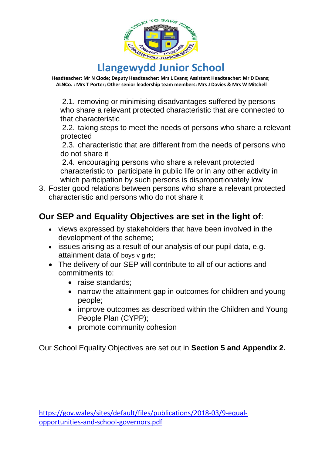

# **Llangewydd Junior School**

**Headteacher: Mr N Clode; Deputy Headteacher: Mrs L Evans; Assistant Headteacher: Mr D Evans; ALNCo. : Mrs T Porter; Other senior leadership team members: Mrs J Davies & Mrs W Mitchell**

2.1. removing or minimising disadvantages suffered by persons who share a relevant protected characteristic that are connected to that characteristic

2.2. taking steps to meet the needs of persons who share a relevant protected

2.3. characteristic that are different from the needs of persons who do not share it

2.4. encouraging persons who share a relevant protected characteristic to participate in public life or in any other activity in which participation by such persons is disproportionately low

3. Foster good relations between persons who share a relevant protected characteristic and persons who do not share it

## **Our SEP and Equality Objectives are set in the light of**:

- views expressed by stakeholders that have been involved in the development of the scheme;
- issues arising as a result of our analysis of our pupil data, e.g. attainment data of boys v girls;
- The delivery of our SEP will contribute to all of our actions and commitments to:
	- raise standards:
	- narrow the attainment gap in outcomes for children and young people;
	- improve outcomes as described within the Children and Young People Plan (CYPP);
	- promote community cohesion

Our School Equality Objectives are set out in **Section 5 and Appendix 2.**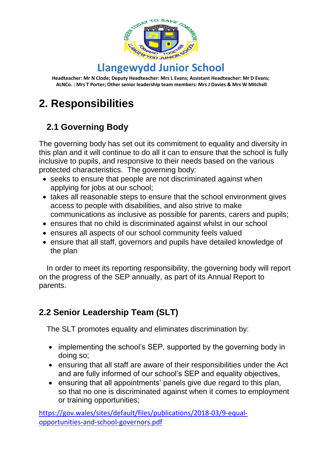

# **2. Responsibilities**

# **2.1 Governing Body**

The governing body has set out its commitment to equality and diversity in this plan and it will continue to do all it can to ensure that the school is fully inclusive to pupils, and responsive to their needs based on the various protected characteristics. The governing body:

- seeks to ensure that people are not discriminated against when applying for jobs at our school;
- takes all reasonable steps to ensure that the school environment gives access to people with disabilities, and also strive to make communications as inclusive as possible for parents, carers and pupils;
- ensures that no child is discriminated against whilst in our school
- ensures all aspects of our school community feels valued
- ensure that all staff, governors and pupils have detailed knowledge of the plan

In order to meet its reporting responsibility, the governing body will report on the progress of the SEP annually, as part of its Annual Report to parents.

# **2.2 Senior Leadership Team (SLT)**

The SLT promotes equality and eliminates discrimination by:

- implementing the school's SEP, supported by the governing body in doing so;
- ensuring that all staff are aware of their responsibilities under the Act and are fully informed of our school's SEP and equality objectives,
- ensuring that all appointments' panels give due regard to this plan, so that no one is discriminated against when it comes to employment or training opportunities;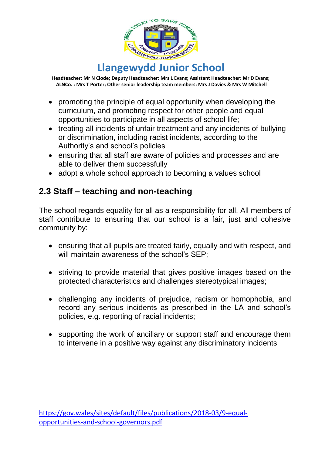

- promoting the principle of equal opportunity when developing the curriculum, and promoting respect for other people and equal opportunities to participate in all aspects of school life;
- treating all incidents of unfair treatment and any incidents of bullying or discrimination, including racist incidents, according to the Authority's and school's policies
- ensuring that all staff are aware of policies and processes and are able to deliver them successfully
- adopt a whole school approach to becoming a values school

## **2.3 Staff – teaching and non-teaching**

The school regards equality for all as a responsibility for all. All members of staff contribute to ensuring that our school is a fair, just and cohesive community by:

- ensuring that all pupils are treated fairly, equally and with respect, and will maintain awareness of the school's SEP:
- striving to provide material that gives positive images based on the protected characteristics and challenges stereotypical images;
- challenging any incidents of prejudice, racism or homophobia, and record any serious incidents as prescribed in the LA and school's policies, e.g. reporting of racial incidents;
- supporting the work of ancillary or support staff and encourage them to intervene in a positive way against any discriminatory incidents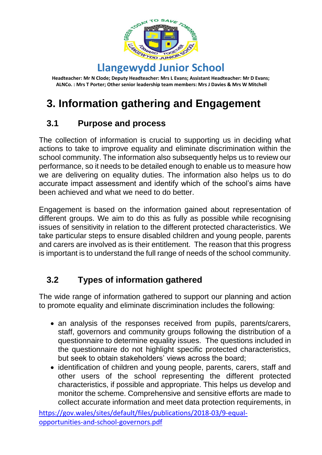

# **3. Information gathering and Engagement**

## **3.1 Purpose and process**

The collection of information is crucial to supporting us in deciding what actions to take to improve equality and eliminate discrimination within the school community. The information also subsequently helps us to review our performance, so it needs to be detailed enough to enable us to measure how we are delivering on equality duties. The information also helps us to do accurate impact assessment and identify which of the school's aims have been achieved and what we need to do better.

Engagement is based on the information gained about representation of different groups. We aim to do this as fully as possible while recognising issues of sensitivity in relation to the different protected characteristics. We take particular steps to ensure disabled children and young people, parents and carers are involved as is their entitlement. The reason that this progress is important is to understand the full range of needs of the school community.

## **3.2 Types of information gathered**

The wide range of information gathered to support our planning and action to promote equality and eliminate discrimination includes the following:

- an analysis of the responses received from pupils, parents/carers, staff, governors and community groups following the distribution of a questionnaire to determine equality issues. The questions included in the questionnaire do not highlight specific protected characteristics, but seek to obtain stakeholders' views across the board;
- identification of children and young people, parents, carers, staff and other users of the school representing the different protected characteristics, if possible and appropriate. This helps us develop and monitor the scheme. Comprehensive and sensitive efforts are made to collect accurate information and meet data protection requirements, in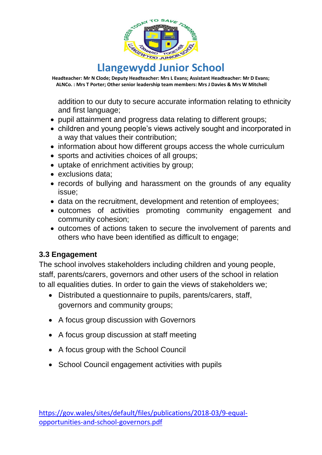

addition to our duty to secure accurate information relating to ethnicity and first language;

- pupil attainment and progress data relating to different groups;
- children and young people's views actively sought and incorporated in a way that values their contribution;
- information about how different groups access the whole curriculum
- sports and activities choices of all groups;
- uptake of enrichment activities by group;
- exclusions data;
- records of bullying and harassment on the grounds of any equality issue;
- data on the recruitment, development and retention of employees;
- outcomes of activities promoting community engagement and community cohesion;
- outcomes of actions taken to secure the involvement of parents and others who have been identified as difficult to engage;

#### **3.3 Engagement**

The school involves stakeholders including children and young people, staff, parents/carers, governors and other users of the school in relation to all equalities duties. In order to gain the views of stakeholders we;

- Distributed a questionnaire to pupils, parents/carers, staff, governors and community groups;
- A focus group discussion with Governors
- A focus group discussion at staff meeting
- A focus group with the School Council
- School Council engagement activities with pupils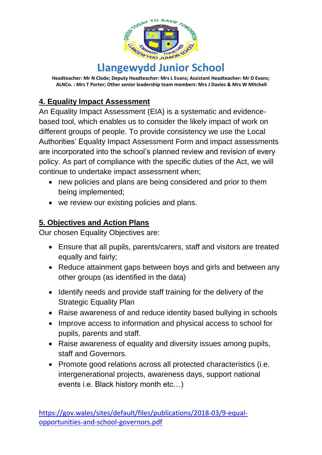

### **4. Equality Impact Assessment**

An Equality Impact Assessment (EIA) is a systematic and evidencebased tool, which enables us to consider the likely impact of work on different groups of people. To provide consistency we use the Local Authorities' Equality Impact Assessment Form and impact assessments are incorporated into the school's planned review and revision of every policy. As part of compliance with the specific duties of the Act, we will continue to undertake impact assessment when;

- new policies and plans are being considered and prior to them being implemented;
- we review our existing policies and plans.

#### **5. Objectives and Action Plans**

Our chosen Equality Objectives are:

- Ensure that all pupils, parents/carers, staff and visitors are treated equally and fairly;
- Reduce attainment gaps between boys and girls and between any other groups (as identified in the data)
- Identify needs and provide staff training for the delivery of the Strategic Equality Plan
- Raise awareness of and reduce identity based bullying in schools
- Improve access to information and physical access to school for pupils, parents and staff.
- Raise awareness of equality and diversity issues among pupils, staff and Governors.
- Promote good relations across all protected characteristics (i.e. intergenerational projects, awareness days, support national events i.e. Black history month etc…)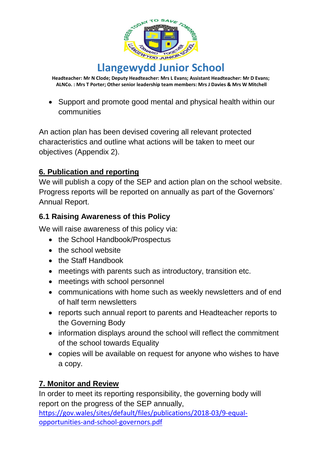

• Support and promote good mental and physical health within our communities

An action plan has been devised covering all relevant protected characteristics and outline what actions will be taken to meet our objectives (Appendix 2).

#### **6. Publication and reporting**

We will publish a copy of the SEP and action plan on the school website. Progress reports will be reported on annually as part of the Governors' Annual Report.

#### **6.1 Raising Awareness of this Policy**

We will raise awareness of this policy via:

- the School Handbook/Prospectus
- the school website
- the Staff Handbook
- meetings with parents such as introductory, transition etc.
- meetings with school personnel
- communications with home such as weekly newsletters and of end of half term newsletters
- reports such annual report to parents and Headteacher reports to the Governing Body
- information displays around the school will reflect the commitment of the school towards Equality
- copies will be available on request for anyone who wishes to have a copy.

#### **7. Monitor and Review**

In order to meet its reporting responsibility, the governing body will report on the progress of the SEP annually,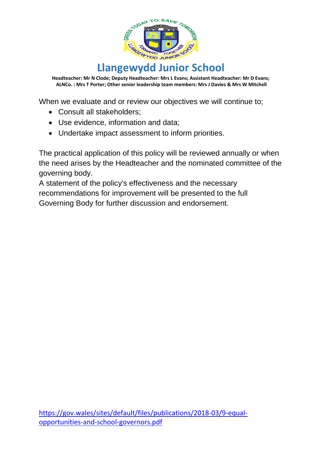

When we evaluate and or review our objectives we will continue to;

- Consult all stakeholders;
- Use evidence, information and data;
- Undertake impact assessment to inform priorities.

The practical application of this policy will be reviewed annually or when the need arises by the Headteacher and the nominated committee of the governing body.

A statement of the policy's effectiveness and the necessary recommendations for improvement will be presented to the full Governing Body for further discussion and endorsement.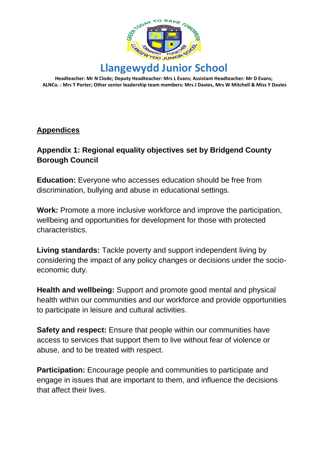

#### **Appendices**

#### **Appendix 1: Regional equality objectives set by Bridgend County Borough Council**

**Education:** Everyone who accesses education should be free from discrimination, bullying and abuse in educational settings.

**Work:** Promote a more inclusive workforce and improve the participation, wellbeing and opportunities for development for those with protected characteristics.

**Living standards:** Tackle poverty and support independent living by considering the impact of any policy changes or decisions under the socioeconomic duty.

**Health and wellbeing:** Support and promote good mental and physical health within our communities and our workforce and provide opportunities to participate in leisure and cultural activities.

**Safety and respect:** Ensure that people within our communities have access to services that support them to live without fear of violence or abuse, and to be treated with respect.

**Participation:** Encourage people and communities to participate and engage in issues that are important to them, and influence the decisions that affect their lives.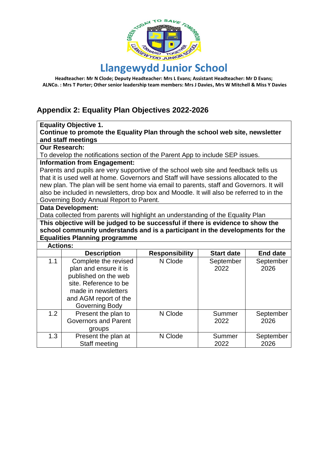

# **Llangewydd Junior School**

**Headteacher: Mr N Clode; Deputy Headteacher: Mrs L Evans; Assistant Headteacher: Mr D Evans; ALNCo. : Mrs T Porter; Other senior leadership team members: Mrs J Davies, Mrs W Mitchell & Miss Y Davies**

#### **Appendix 2: Equality Plan Objectives 2022-2026**

#### **Equality Objective 1.**

**Continue to promote the Equality Plan through the school web site, newsletter and staff meetings**

#### **Our Research:**

To develop the notifications section of the Parent App to include SEP issues.

#### **Information from Engagement:**

Parents and pupils are very supportive of the school web site and feedback tells us that it is used well at home. Governors and Staff will have sessions allocated to the new plan. The plan will be sent home via email to parents, staff and Governors. It will also be included in newsletters, drop box and Moodle. It will also be referred to in the Governing Body Annual Report to Parent.

#### **Data Development:**

Data collected from parents will highlight an understanding of the Equality Plan

**This objective will be judged to be successful if there is evidence to show the school community understands and is a participant in the developments for the Equalities Planning programme**

#### **Actions:**

|     | <b>Description</b>          | <b>Responsibility</b> | <b>Start date</b> | <b>End date</b> |
|-----|-----------------------------|-----------------------|-------------------|-----------------|
| 1.1 | Complete the revised        | N Clode               | September         | September       |
|     | plan and ensure it is       |                       | 2022              | 2026            |
|     | published on the web        |                       |                   |                 |
|     | site. Reference to be       |                       |                   |                 |
|     | made in newsletters         |                       |                   |                 |
|     | and AGM report of the       |                       |                   |                 |
|     | Governing Body              |                       |                   |                 |
| 1.2 | Present the plan to         | N Clode               | Summer            | September       |
|     | <b>Governors and Parent</b> |                       | 2022              | 2026            |
|     | groups                      |                       |                   |                 |
| 1.3 | Present the plan at         | N Clode               | Summer            | September       |
|     | Staff meeting               |                       | 2022              | 2026            |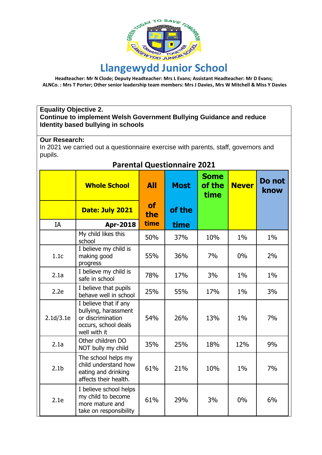

#### **Equality Objective 2. Continue to implement Welsh Government Bullying Guidance and reduce Identity based bullying in schools**

#### **Our Research:**

In 2021 we carried out a questionnaire exercise with parents, staff, governors and pupils.

| Parental Questionnaire 2021 |                                                                                                            |                  |             |                               |              |                |
|-----------------------------|------------------------------------------------------------------------------------------------------------|------------------|-------------|-------------------------------|--------------|----------------|
|                             | <b>Whole School</b>                                                                                        | All              | <b>Most</b> | <b>Some</b><br>of the<br>time | <b>Never</b> | Do not<br>know |
|                             | Date: July 2021                                                                                            | <b>of</b><br>the | of the      |                               |              |                |
| IA                          | <b>Apr-2018</b>                                                                                            | time             | time        |                               |              |                |
|                             | My child likes this<br>school                                                                              | 50%              | 37%         | 10%                           | 1%           | 1%             |
| 1.1c                        | I believe my child is<br>making good<br>progress                                                           | 55%              | 36%         | 7%                            | $0\%$        | 2%             |
| 2.1a                        | I believe my child is<br>safe in school                                                                    | 78%              | 17%         | 3%                            | 1%           | $1\%$          |
| 2.2e                        | I believe that pupils<br>behave well in school                                                             | 25%              | 55%         | 17%                           | $1\%$        | 3%             |
| 2.1d/3.1e                   | I believe that if any<br>bullying, harassment<br>or discrimination<br>occurs, school deals<br>well with it | 54%              | 26%         | 13%                           | 1%           | 7%             |
| 2.1a                        | Other children DO<br>NOT bully my child                                                                    | 35%              | 25%         | 18%                           | 12%          | 9%             |
| 2.1 <sub>b</sub>            | The school helps my<br>child understand how<br>eating and drinking<br>affects their health.                | 61%              | 21%         | 10%                           | 1%           | 7%             |
| 2.1e                        | I believe school helps<br>my child to become<br>more mature and<br>take on responsibility                  | 61%              | 29%         | 3%                            | 0%           | 6%             |

**Parental Questionnaire 2021**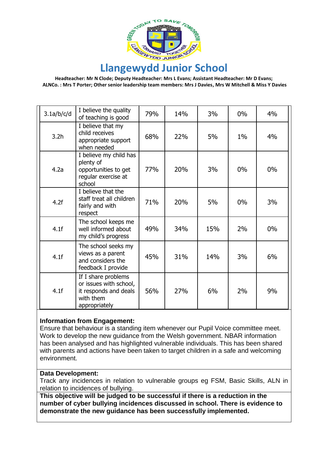

# **Llangewydd Junior School**

**Headteacher: Mr N Clode; Deputy Headteacher: Mrs L Evans; Assistant Headteacher: Mr D Evans; ALNCo. : Mrs T Porter; Other senior leadership team members: Mrs J Davies, Mrs W Mitchell & Miss Y Davies**

| 3.1a/b/c/d       | I believe the quality<br>of teaching is good                                                         | 79% | 14% | 3%  | $0\%$ | 4%    |
|------------------|------------------------------------------------------------------------------------------------------|-----|-----|-----|-------|-------|
| 3.2 <sub>h</sub> | I believe that my<br>child receives<br>appropriate support<br>when needed                            | 68% | 22% | 5%  | $1\%$ | 4%    |
| 4.2a             | I believe my child has<br>plenty of<br>opportunities to get<br>regular exercise at<br>school         | 77% | 20% | 3%  | $0\%$ | $0\%$ |
| 4.2f             | I believe that the<br>staff treat all children<br>fairly and with<br>respect                         | 71% | 20% | 5%  | $0\%$ | 3%    |
| 4.1f             | The school keeps me<br>well informed about<br>my child's progress                                    | 49% | 34% | 15% | 2%    | 0%    |
| 4.1f             | The school seeks my<br>views as a parent<br>and considers the<br>feedback I provide                  | 45% | 31% | 14% | 3%    | 6%    |
| 4.1f             | If I share problems<br>or issues with school,<br>it responds and deals<br>with them<br>appropriately | 56% | 27% | 6%  | 2%    | 9%    |

#### **Information from Engagement:**

Ensure that behaviour is a standing item whenever our Pupil Voice committee meet. Work to develop the new guidance from the Welsh government. NBAR information has been analysed and has highlighted vulnerable individuals. This has been shared with parents and actions have been taken to target children in a safe and welcoming environment.

#### **Data Development:**

Track any incidences in relation to vulnerable groups eg FSM, Basic Skills, ALN in relation to incidences of bullying.

**This objective will be judged to be successful if there is a reduction in the number of cyber bullying incidences discussed in school. There is evidence to demonstrate the new guidance has been successfully implemented.**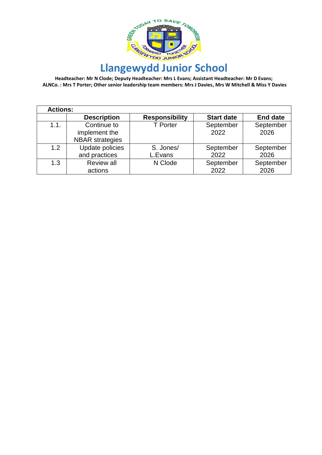

| <b>Actions:</b> |                        |                       |                   |                 |
|-----------------|------------------------|-----------------------|-------------------|-----------------|
|                 | <b>Description</b>     | <b>Responsibility</b> | <b>Start date</b> | <b>End date</b> |
| 1.1.            | Continue to            | <b>T</b> Porter       | September         | September       |
|                 | implement the          |                       | 2022              | 2026            |
|                 | <b>NBAR</b> strategies |                       |                   |                 |
| 1.2             | Update policies        | S. Jones/             | September         | September       |
|                 | and practices          | L.Evans               | 2022              | 2026            |
| 1.3             | <b>Review all</b>      | N Clode               | September         | September       |
|                 | actions                |                       | 2022              | 2026            |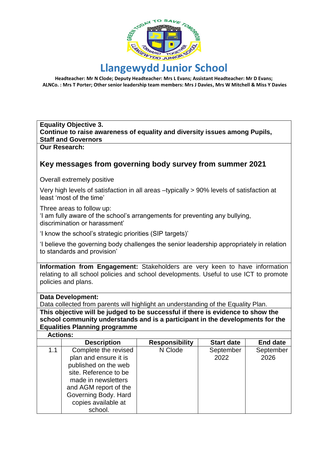

# **Llangewydd Junior School**

**Headteacher: Mr N Clode; Deputy Headteacher: Mrs L Evans; Assistant Headteacher: Mr D Evans; ALNCo. : Mrs T Porter; Other senior leadership team members: Mrs J Davies, Mrs W Mitchell & Miss Y Davies**

#### **Equality Objective 3. Continue to raise awareness of equality and diversity issues among Pupils, Staff and Governors**

**Our Research:**

#### **Key messages from governing body survey from summer 2021**

Overall extremely positive

Very high levels of satisfaction in all areas –typically > 90% levels of satisfaction at least 'most of the time'

Three areas to follow up:

'I am fully aware of the school's arrangements for preventing any bullying, discrimination or harassment'

'I know the school's strategic priorities (SIP targets)'

'I believe the governing body challenges the senior leadership appropriately in relation to standards and provision'

**Information from Engagement:** Stakeholders are very keen to have information relating to all school policies and school developments. Useful to use ICT to promote policies and plans.

#### **Data Development:**

Data collected from parents will highlight an understanding of the Equality Plan. **This objective will be judged to be successful if there is evidence to show the school community understands and is a participant in the developments for the Equalities Planning programme**

| <b>Actions:</b> |                       |                       |                   |                 |
|-----------------|-----------------------|-----------------------|-------------------|-----------------|
|                 | <b>Description</b>    | <b>Responsibility</b> | <b>Start date</b> | <b>End date</b> |
| 1.1             | Complete the revised  | N Clode               | September         | September       |
|                 | plan and ensure it is |                       | 2022              | 2026            |
|                 | published on the web  |                       |                   |                 |
|                 | site. Reference to be |                       |                   |                 |
|                 | made in newsletters   |                       |                   |                 |
|                 | and AGM report of the |                       |                   |                 |
|                 | Governing Body. Hard  |                       |                   |                 |
|                 | copies available at   |                       |                   |                 |
|                 | school.               |                       |                   |                 |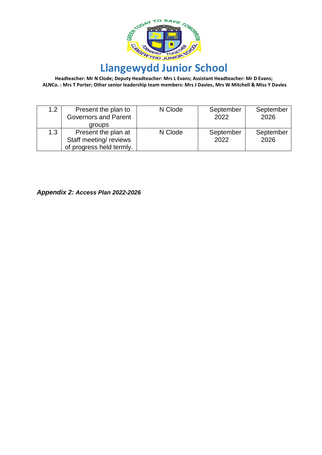

| 1.2 | Present the plan to<br><b>Governors and Parent</b><br>groups             | N Clode | September<br>2022 | September<br>2026 |
|-----|--------------------------------------------------------------------------|---------|-------------------|-------------------|
| 1.3 | Present the plan at<br>Staff meeting/reviews<br>of progress held termly. | N Clode | September<br>2022 | September<br>2026 |

*Appendix 2: Access Plan 2022-2026*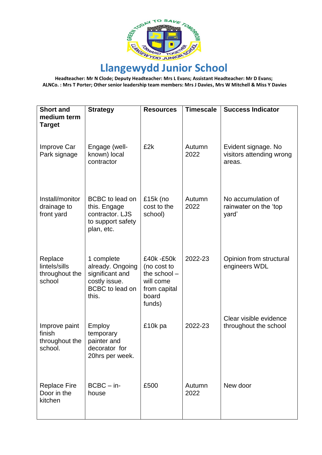

| <b>Short and</b><br>medium term                      | <b>Strategy</b>                                                                                       | <b>Resources</b>                                                                          | <b>Timescale</b> | <b>Success Indicator</b>                                  |
|------------------------------------------------------|-------------------------------------------------------------------------------------------------------|-------------------------------------------------------------------------------------------|------------------|-----------------------------------------------------------|
| <b>Target</b>                                        |                                                                                                       |                                                                                           |                  |                                                           |
| <b>Improve Car</b><br>Park signage                   | Engage (well-<br>known) local<br>contractor                                                           | £2k                                                                                       | Autumn<br>2022   | Evident signage. No<br>visitors attending wrong<br>areas. |
| Install/monitor<br>drainage to<br>front yard         | BCBC to lead on<br>this. Engage<br>contractor. LJS<br>to support safety<br>plan, etc.                 | £15 $k$ (no<br>cost to the<br>school)                                                     | Autumn<br>2022   | No accumulation of<br>rainwater on the 'top<br>yard'      |
| Replace<br>lintels/sills<br>throughout the<br>school | 1 complete<br>already. Ongoing<br>significant and<br>costly issue.<br><b>BCBC</b> to lead on<br>this. | £40k -£50k<br>(no cost to<br>the school -<br>will come<br>from capital<br>board<br>funds) | 2022-23          | Opinion from structural<br>engineers WDL                  |
| Improve paint<br>finish<br>throughout the<br>school. | Employ<br>temporary<br>painter and<br>decorator for<br>20hrs per week.                                | £10k pa                                                                                   | 2022-23          | Clear visible evidence<br>throughout the school           |
| <b>Replace Fire</b><br>Door in the<br>kitchen        | $BCBC - in-$<br>house                                                                                 | £500                                                                                      | Autumn<br>2022   | New door                                                  |